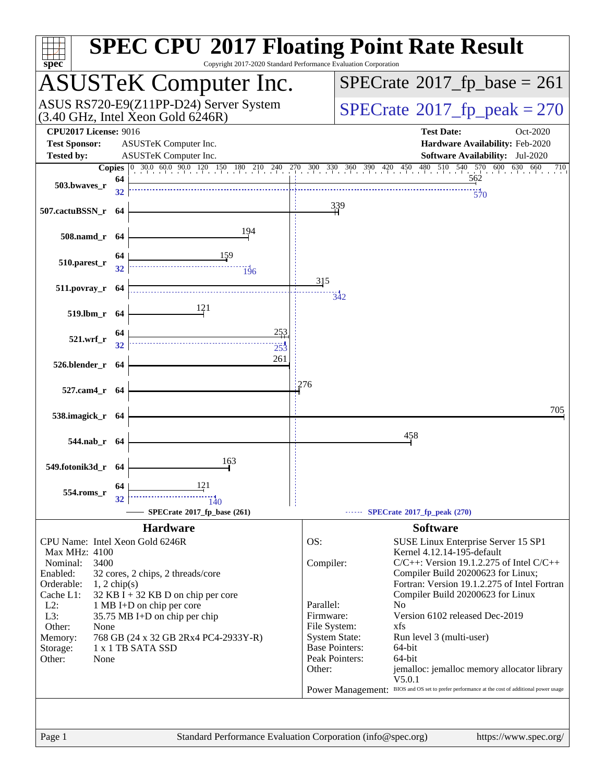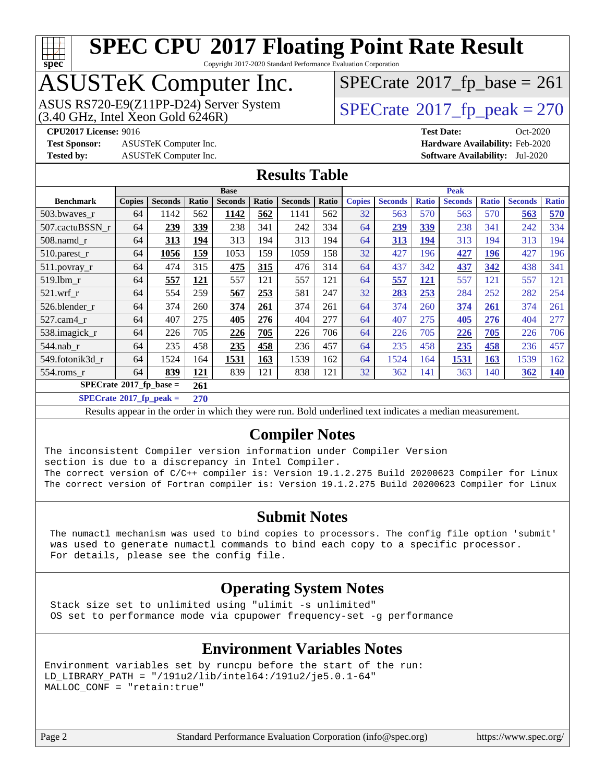

Copyright 2017-2020 Standard Performance Evaluation Corporation

### ASUSTeK Computer Inc.

ASUS RS720-E9(Z11PP-D24) Server System  $(3.40 \text{ GHz}, \text{ Intel Xeon Gold } 6246\text{R})$   $\big| \text{ SPECrate}^{\circledR} 2017 \text{ *fp\_peak} = 270*$  $\big| \text{ SPECrate}^{\circledR} 2017 \text{ *fp\_peak} = 270*$  $\big| \text{ SPECrate}^{\circledR} 2017 \text{ *fp\_peak} = 270*$ 

 $SPECTate@2017_fp\_base = 261$ 

**[Test Sponsor:](http://www.spec.org/auto/cpu2017/Docs/result-fields.html#TestSponsor)** ASUSTeK Computer Inc. **[Hardware Availability:](http://www.spec.org/auto/cpu2017/Docs/result-fields.html#HardwareAvailability)** Feb-2020 **[Tested by:](http://www.spec.org/auto/cpu2017/Docs/result-fields.html#Testedby)** ASUSTeK Computer Inc. **[Software Availability:](http://www.spec.org/auto/cpu2017/Docs/result-fields.html#SoftwareAvailability)** Jul-2020

**[CPU2017 License:](http://www.spec.org/auto/cpu2017/Docs/result-fields.html#CPU2017License)** 9016 **[Test Date:](http://www.spec.org/auto/cpu2017/Docs/result-fields.html#TestDate)** Oct-2020

#### **[Results Table](http://www.spec.org/auto/cpu2017/Docs/result-fields.html#ResultsTable)**

|                                               | <b>Base</b>   |                |       |                | <b>Peak</b> |                |       |               |                |              |                |              |                |              |
|-----------------------------------------------|---------------|----------------|-------|----------------|-------------|----------------|-------|---------------|----------------|--------------|----------------|--------------|----------------|--------------|
| <b>Benchmark</b>                              | <b>Copies</b> | <b>Seconds</b> | Ratio | <b>Seconds</b> | Ratio       | <b>Seconds</b> | Ratio | <b>Copies</b> | <b>Seconds</b> | <b>Ratio</b> | <b>Seconds</b> | <b>Ratio</b> | <b>Seconds</b> | <b>Ratio</b> |
| 503.bwaves_r                                  | 64            | 1142           | 562   | 1142           | 562         | 1141           | 562   | 32            | 563            | 570          | 563            | 570          | 563            | 570          |
| 507.cactuBSSN r                               | 64            | 239            | 339   | 238            | 341         | 242            | 334   | 64            | 239            | 339          | 238            | 341          | 242            | 334          |
| 508.namd r                                    | 64            | 313            | 194   | 313            | 194         | 313            | 194   | 64            | 313            | 194          | 313            | 194          | 313            | 194          |
| 510.parest_r                                  | 64            | 1056           | 159   | 1053           | 159         | 1059           | 158   | 32            | 427            | 196          | 427            | <u>196</u>   | 427            | 196          |
| 511.povray_r                                  | 64            | 474            | 315   | 475            | 315         | 476            | 314   | 64            | 437            | 342          | 437            | 342          | 438            | 341          |
| 519.1bm r                                     | 64            | 557            | 121   | 557            | 121         | 557            | 121   | 64            | 557            | 121          | 557            | 121          | 557            | 121          |
| $521$ .wrf r                                  | 64            | 554            | 259   | 567            | 253         | 581            | 247   | 32            | 283            | 253          | 284            | 252          | 282            | 254          |
| 526.blender r                                 | 64            | 374            | 260   | 374            | 261         | 374            | 261   | 64            | 374            | 260          | 374            | 261          | 374            | 261          |
| 527.cam4 r                                    | 64            | 407            | 275   | 405            | 276         | 404            | 277   | 64            | 407            | 275          | 405            | 276          | 404            | 277          |
| 538.imagick_r                                 | 64            | 226            | 705   | 226            | 705         | 226            | 706   | 64            | 226            | 705          | 226            | 705          | 226            | 706          |
| $544$ .nab r                                  | 64            | 235            | 458   | 235            | 458         | 236            | 457   | 64            | 235            | 458          | 235            | 458          | 236            | 457          |
| 549.fotonik3d r                               | 64            | 1524           | 164   | 1531           | 163         | 1539           | 162   | 64            | 1524           | 164          | 1531           | 163          | 1539           | 162          |
| $554$ .roms r                                 | 64            | 839            | 121   | 839            | 121         | 838            | 121   | 32            | 362            | 141          | 363            | 140          | 362            | <u>140</u>   |
| $SPECrate$ <sup>®</sup> 2017_fp_base =<br>261 |               |                |       |                |             |                |       |               |                |              |                |              |                |              |

**[SPECrate](http://www.spec.org/auto/cpu2017/Docs/result-fields.html#SPECrate2017fppeak)[2017\\_fp\\_peak =](http://www.spec.org/auto/cpu2017/Docs/result-fields.html#SPECrate2017fppeak) 270**

Results appear in the [order in which they were run](http://www.spec.org/auto/cpu2017/Docs/result-fields.html#RunOrder). Bold underlined text [indicates a median measurement](http://www.spec.org/auto/cpu2017/Docs/result-fields.html#Median).

#### **[Compiler Notes](http://www.spec.org/auto/cpu2017/Docs/result-fields.html#CompilerNotes)**

The inconsistent Compiler version information under Compiler Version section is due to a discrepancy in Intel Compiler. The correct version of C/C++ compiler is: Version 19.1.2.275 Build 20200623 Compiler for Linux The correct version of Fortran compiler is: Version 19.1.2.275 Build 20200623 Compiler for Linux

#### **[Submit Notes](http://www.spec.org/auto/cpu2017/Docs/result-fields.html#SubmitNotes)**

 The numactl mechanism was used to bind copies to processors. The config file option 'submit' was used to generate numactl commands to bind each copy to a specific processor. For details, please see the config file.

#### **[Operating System Notes](http://www.spec.org/auto/cpu2017/Docs/result-fields.html#OperatingSystemNotes)**

 Stack size set to unlimited using "ulimit -s unlimited" OS set to performance mode via cpupower frequency-set -g performance

#### **[Environment Variables Notes](http://www.spec.org/auto/cpu2017/Docs/result-fields.html#EnvironmentVariablesNotes)**

```
Environment variables set by runcpu before the start of the run:
LD_LIBRARY_PATH = "/191u2/lib/intel64:/191u2/je5.0.1-64"
MALLOC_CONF = "retain:true"
```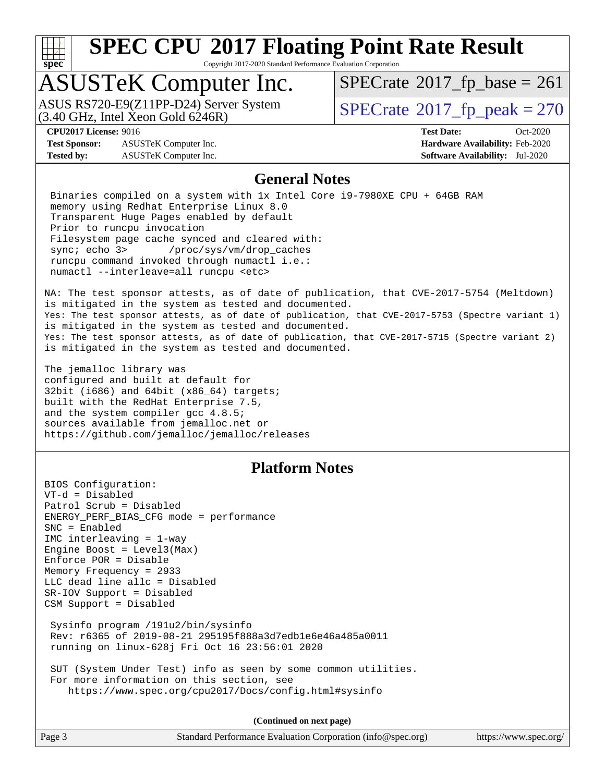

Copyright 2017-2020 Standard Performance Evaluation Corporation

### ASUSTeK Computer Inc.

 $(3.40 \text{ GHz}, \text{Intel } \hat{\text{X}}$ con Gold 6246R) ASUS RS720-E9(Z11PP-D24) Server System  $SPECrate@2017_fp\_peak = 270$  $SPECrate@2017_fp\_peak = 270$ 

 $SPECTate$ <sup>®</sup>[2017\\_fp\\_base =](http://www.spec.org/auto/cpu2017/Docs/result-fields.html#SPECrate2017fpbase) 261

**[Test Sponsor:](http://www.spec.org/auto/cpu2017/Docs/result-fields.html#TestSponsor)** ASUSTeK Computer Inc. **[Hardware Availability:](http://www.spec.org/auto/cpu2017/Docs/result-fields.html#HardwareAvailability)** Feb-2020 **[Tested by:](http://www.spec.org/auto/cpu2017/Docs/result-fields.html#Testedby)** ASUSTeK Computer Inc. **[Software Availability:](http://www.spec.org/auto/cpu2017/Docs/result-fields.html#SoftwareAvailability)** Jul-2020

**[CPU2017 License:](http://www.spec.org/auto/cpu2017/Docs/result-fields.html#CPU2017License)** 9016 **[Test Date:](http://www.spec.org/auto/cpu2017/Docs/result-fields.html#TestDate)** Oct-2020

#### **[General Notes](http://www.spec.org/auto/cpu2017/Docs/result-fields.html#GeneralNotes)**

 Binaries compiled on a system with 1x Intel Core i9-7980XE CPU + 64GB RAM memory using Redhat Enterprise Linux 8.0 Transparent Huge Pages enabled by default Prior to runcpu invocation Filesystem page cache synced and cleared with: sync; echo 3> /proc/sys/vm/drop\_caches runcpu command invoked through numactl i.e.: numactl --interleave=all runcpu <etc>

NA: The test sponsor attests, as of date of publication, that CVE-2017-5754 (Meltdown) is mitigated in the system as tested and documented. Yes: The test sponsor attests, as of date of publication, that CVE-2017-5753 (Spectre variant 1) is mitigated in the system as tested and documented. Yes: The test sponsor attests, as of date of publication, that CVE-2017-5715 (Spectre variant 2) is mitigated in the system as tested and documented.

The jemalloc library was configured and built at default for 32bit (i686) and 64bit (x86\_64) targets; built with the RedHat Enterprise 7.5, and the system compiler gcc 4.8.5; sources available from jemalloc.net or <https://github.com/jemalloc/jemalloc/releases>

#### **[Platform Notes](http://www.spec.org/auto/cpu2017/Docs/result-fields.html#PlatformNotes)**

BIOS Configuration: VT-d = Disabled Patrol Scrub = Disabled ENERGY\_PERF\_BIAS\_CFG mode = performance SNC = Enabled IMC interleaving = 1-way Engine Boost = Level3(Max) Enforce POR = Disable Memory Frequency = 2933 LLC dead line allc = Disabled SR-IOV Support = Disabled CSM Support = Disabled Sysinfo program /191u2/bin/sysinfo Rev: r6365 of 2019-08-21 295195f888a3d7edb1e6e46a485a0011 running on linux-628j Fri Oct 16 23:56:01 2020 SUT (System Under Test) info as seen by some common utilities. For more information on this section, see

<https://www.spec.org/cpu2017/Docs/config.html#sysinfo>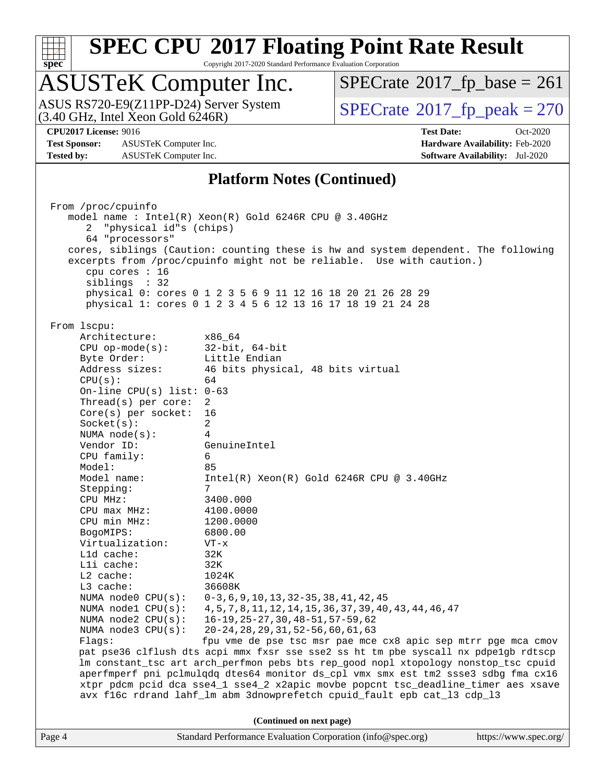

Copyright 2017-2020 Standard Performance Evaluation Corporation

### ASUSTeK Computer Inc.

(3.40 GHz, Intel Xeon Gold 6246R) ASUS RS720-E9(Z11PP-D24) Server System  $\sqrt{\text{SPECrate}^{\otimes}2017\_fp\_peak} = 270$  $\sqrt{\text{SPECrate}^{\otimes}2017\_fp\_peak} = 270$  $\sqrt{\text{SPECrate}^{\otimes}2017\_fp\_peak} = 270$ 

 $SPECTate@2017_fp\_base = 261$ 

**[CPU2017 License:](http://www.spec.org/auto/cpu2017/Docs/result-fields.html#CPU2017License)** 9016 **[Test Date:](http://www.spec.org/auto/cpu2017/Docs/result-fields.html#TestDate)** Oct-2020

**[Test Sponsor:](http://www.spec.org/auto/cpu2017/Docs/result-fields.html#TestSponsor)** ASUSTeK Computer Inc. **[Hardware Availability:](http://www.spec.org/auto/cpu2017/Docs/result-fields.html#HardwareAvailability)** Feb-2020 **[Tested by:](http://www.spec.org/auto/cpu2017/Docs/result-fields.html#Testedby)** ASUSTeK Computer Inc. **[Software Availability:](http://www.spec.org/auto/cpu2017/Docs/result-fields.html#SoftwareAvailability)** Jul-2020

#### **[Platform Notes \(Continued\)](http://www.spec.org/auto/cpu2017/Docs/result-fields.html#PlatformNotes)**

Page 4 Standard Performance Evaluation Corporation [\(info@spec.org\)](mailto:info@spec.org) <https://www.spec.org/> From /proc/cpuinfo model name : Intel(R) Xeon(R) Gold 6246R CPU @ 3.40GHz 2 "physical id"s (chips) 64 "processors" cores, siblings (Caution: counting these is hw and system dependent. The following excerpts from /proc/cpuinfo might not be reliable. Use with caution.) cpu cores : 16 siblings : 32 physical 0: cores 0 1 2 3 5 6 9 11 12 16 18 20 21 26 28 29 physical 1: cores 0 1 2 3 4 5 6 12 13 16 17 18 19 21 24 28 From lscpu: Architecture: x86\_64 CPU op-mode(s): 32-bit, 64-bit Byte Order: Little Endian Address sizes: 46 bits physical, 48 bits virtual  $CPU(s):$  64 On-line CPU(s) list: 0-63 Thread(s) per core: 2 Core(s) per socket: 16 Socket(s): 2 NUMA node(s): 4 Vendor ID: GenuineIntel CPU family: 6 Model: 85 Model name: Intel(R) Xeon(R) Gold 6246R CPU @ 3.40GHz Stepping: CPU MHz: 3400.000 CPU max MHz: 4100.0000 CPU min MHz: 1200.0000 BogoMIPS: 6800.00 Virtualization: VT-x L1d cache: 32K L1i cache: 32K L2 cache: 1024K L3 cache: 36608K NUMA node0 CPU(s): 0-3,6,9,10,13,32-35,38,41,42,45 NUMA node1 CPU(s): 4,5,7,8,11,12,14,15,36,37,39,40,43,44,46,47 NUMA node2 CPU(s): 16-19,25-27,30,48-51,57-59,62 NUMA node3 CPU(s): 20-24,28,29,31,52-56,60,61,63 Flags: fpu vme de pse tsc msr pae mce cx8 apic sep mtrr pge mca cmov pat pse36 clflush dts acpi mmx fxsr sse sse2 ss ht tm pbe syscall nx pdpe1gb rdtscp lm constant\_tsc art arch\_perfmon pebs bts rep\_good nopl xtopology nonstop\_tsc cpuid aperfmperf pni pclmulqdq dtes64 monitor ds\_cpl vmx smx est tm2 ssse3 sdbg fma cx16 xtpr pdcm pcid dca sse4\_1 sse4\_2 x2apic movbe popcnt tsc\_deadline\_timer aes xsave avx f16c rdrand lahf\_lm abm 3dnowprefetch cpuid\_fault epb cat\_l3 cdp\_l3 **(Continued on next page)**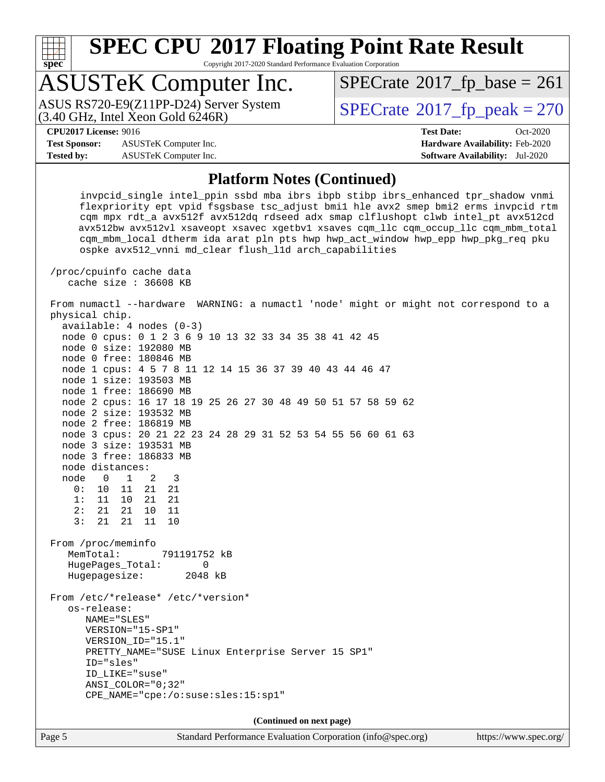

Copyright 2017-2020 Standard Performance Evaluation Corporation

### ASUSTeK Computer Inc.

ASUS RS720-E9(Z11PP-D24) Server System<br>(3.40 GHz, Intel Xeon Gold 6246R)

 $SPECTate<sup>®</sup>2017_fp_peak = 270$  $SPECTate<sup>®</sup>2017_fp_peak = 270$  $SPECTate<sup>®</sup>2017_fp_peak = 270$  $SPECTate@2017_fp\_base = 261$ 

**[Test Sponsor:](http://www.spec.org/auto/cpu2017/Docs/result-fields.html#TestSponsor)** ASUSTeK Computer Inc. **[Hardware Availability:](http://www.spec.org/auto/cpu2017/Docs/result-fields.html#HardwareAvailability)** Feb-2020 **[Tested by:](http://www.spec.org/auto/cpu2017/Docs/result-fields.html#Testedby)** ASUSTeK Computer Inc. **[Software Availability:](http://www.spec.org/auto/cpu2017/Docs/result-fields.html#SoftwareAvailability)** Jul-2020

**[CPU2017 License:](http://www.spec.org/auto/cpu2017/Docs/result-fields.html#CPU2017License)** 9016 **[Test Date:](http://www.spec.org/auto/cpu2017/Docs/result-fields.html#TestDate)** Oct-2020

#### **[Platform Notes \(Continued\)](http://www.spec.org/auto/cpu2017/Docs/result-fields.html#PlatformNotes)**

 invpcid\_single intel\_ppin ssbd mba ibrs ibpb stibp ibrs\_enhanced tpr\_shadow vnmi flexpriority ept vpid fsgsbase tsc\_adjust bmi1 hle avx2 smep bmi2 erms invpcid rtm cqm mpx rdt\_a avx512f avx512dq rdseed adx smap clflushopt clwb intel\_pt avx512cd avx512bw avx512vl xsaveopt xsavec xgetbv1 xsaves cqm\_llc cqm\_occup\_llc cqm\_mbm\_total cqm\_mbm\_local dtherm ida arat pln pts hwp hwp\_act\_window hwp\_epp hwp\_pkg\_req pku ospke avx512\_vnni md\_clear flush\_l1d arch\_capabilities

 /proc/cpuinfo cache data cache size : 36608 KB

 From numactl --hardware WARNING: a numactl 'node' might or might not correspond to a physical chip.

 available: 4 nodes (0-3) node 0 cpus: 0 1 2 3 6 9 10 13 32 33 34 35 38 41 42 45 node 0 size: 192080 MB node 0 free: 180846 MB node 1 cpus: 4 5 7 8 11 12 14 15 36 37 39 40 43 44 46 47 node 1 size: 193503 MB node 1 free: 186690 MB node 2 cpus: 16 17 18 19 25 26 27 30 48 49 50 51 57 58 59 62 node 2 size: 193532 MB node 2 free: 186819 MB node 3 cpus: 20 21 22 23 24 28 29 31 52 53 54 55 56 60 61 63 node 3 size: 193531 MB node 3 free: 186833 MB node distances: node 0 1 2 3 0: 10 11 21 21 1: 11 10 21 21 2: 21 21 10 11 3: 21 21 11 10 From /proc/meminfo MemTotal: 791191752 kB HugePages\_Total: 0 Hugepagesize: 2048 kB From /etc/\*release\* /etc/\*version\* os-release: NAME="SLES" VERSION="15-SP1" VERSION\_ID="15.1" PRETTY\_NAME="SUSE Linux Enterprise Server 15 SP1" ID="sles" ID\_LIKE="suse" ANSI\_COLOR="0;32" CPE\_NAME="cpe:/o:suse:sles:15:sp1" **(Continued on next page)**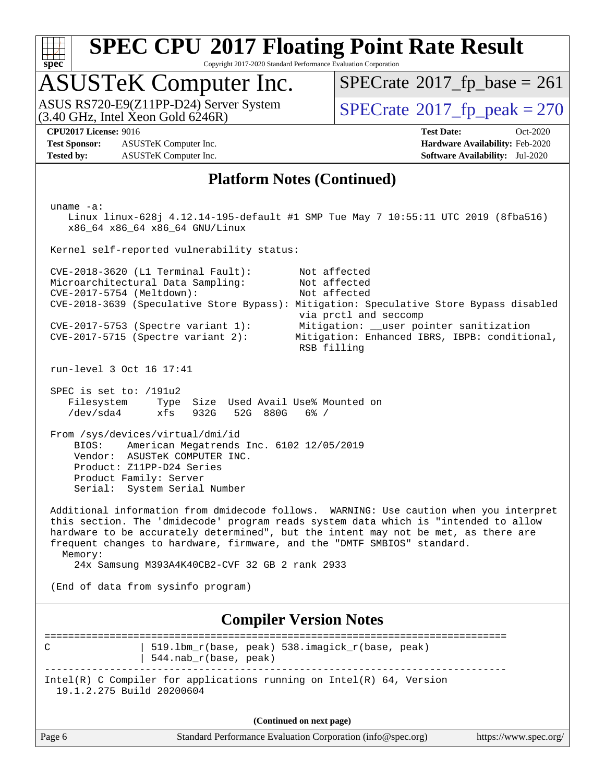

Copyright 2017-2020 Standard Performance Evaluation Corporation

### ASUSTeK Computer Inc.

 $(3.40 \text{ GHz}, \text{Intel } \hat{\text{X}}$ con Gold 6246R) ASUS RS720-E9(Z11PP-D24) Server System  $SPECrate@2017_fp\_peak = 270$  $SPECrate@2017_fp\_peak = 270$ 

 $SPECTate$ <sup>®</sup>[2017\\_fp\\_base =](http://www.spec.org/auto/cpu2017/Docs/result-fields.html#SPECrate2017fpbase) 261

**[CPU2017 License:](http://www.spec.org/auto/cpu2017/Docs/result-fields.html#CPU2017License)** 9016 **[Test Date:](http://www.spec.org/auto/cpu2017/Docs/result-fields.html#TestDate)** Oct-2020

**[Test Sponsor:](http://www.spec.org/auto/cpu2017/Docs/result-fields.html#TestSponsor)** ASUSTeK Computer Inc. **[Hardware Availability:](http://www.spec.org/auto/cpu2017/Docs/result-fields.html#HardwareAvailability)** Feb-2020 **[Tested by:](http://www.spec.org/auto/cpu2017/Docs/result-fields.html#Testedby)** ASUSTeK Computer Inc. **[Software Availability:](http://www.spec.org/auto/cpu2017/Docs/result-fields.html#SoftwareAvailability)** Jul-2020

#### **[Platform Notes \(Continued\)](http://www.spec.org/auto/cpu2017/Docs/result-fields.html#PlatformNotes)**

Page 6 Standard Performance Evaluation Corporation [\(info@spec.org\)](mailto:info@spec.org) <https://www.spec.org/> uname -a: Linux linux-628j 4.12.14-195-default #1 SMP Tue May 7 10:55:11 UTC 2019 (8fba516) x86\_64 x86\_64 x86\_64 GNU/Linux Kernel self-reported vulnerability status: CVE-2018-3620 (L1 Terminal Fault): Not affected Microarchitectural Data Sampling: Not affected CVE-2017-5754 (Meltdown): Not affected CVE-2018-3639 (Speculative Store Bypass): Mitigation: Speculative Store Bypass disabled via prctl and seccomp CVE-2017-5753 (Spectre variant 1): Mitigation: \_\_user pointer sanitization CVE-2017-5715 (Spectre variant 2): Mitigation: Enhanced IBRS, IBPB: conditional, RSB filling run-level 3 Oct 16 17:41 SPEC is set to: /191u2 Filesystem Type Size Used Avail Use% Mounted on /dev/sda4 xfs 932G 52G 880G 6% / From /sys/devices/virtual/dmi/id BIOS: American Megatrends Inc. 6102 12/05/2019 Vendor: ASUSTeK COMPUTER INC. Product: Z11PP-D24 Series Product Family: Server Serial: System Serial Number Additional information from dmidecode follows. WARNING: Use caution when you interpret this section. The 'dmidecode' program reads system data which is "intended to allow hardware to be accurately determined", but the intent may not be met, as there are frequent changes to hardware, firmware, and the "DMTF SMBIOS" standard. Memory: 24x Samsung M393A4K40CB2-CVF 32 GB 2 rank 2933 (End of data from sysinfo program) **[Compiler Version Notes](http://www.spec.org/auto/cpu2017/Docs/result-fields.html#CompilerVersionNotes)** ============================================================================== C | 519.1bm\_r(base, peak) 538.imagick\_r(base, peak) | 544.nab\_r(base, peak) ------------------------------------------------------------------------------ Intel(R) C Compiler for applications running on Intel(R) 64, Version 19.1.2.275 Build 20200604 **(Continued on next page)**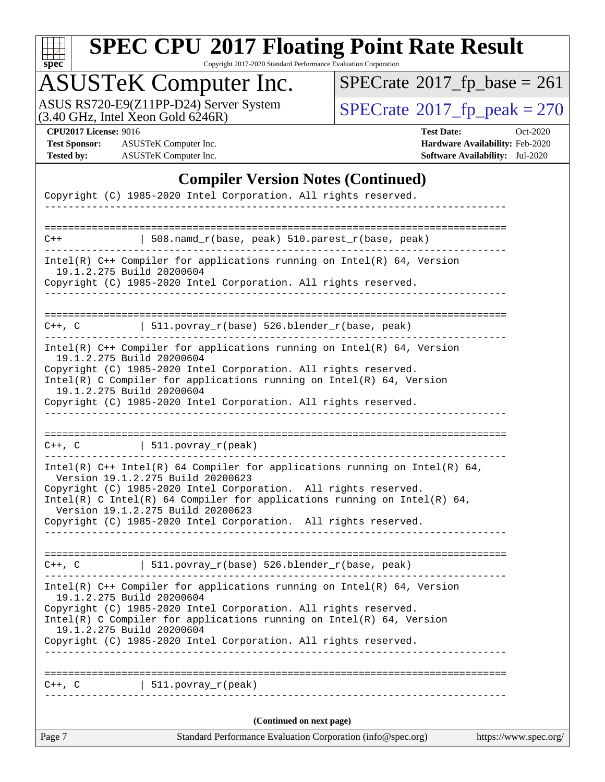

Copyright 2017-2020 Standard Performance Evaluation Corporation

### ASUSTeK Computer Inc.

ASUS RS720-E9(Z11PP-D24) Server System  $(3.40 \text{ GHz}, \text{ Intel Xeon Gold } 6246\text{R})$   $\big| \text{ SPECrate}^{\circledR} 2017 \text{ *fp\_peak} = 270*$  $\big| \text{ SPECrate}^{\circledR} 2017 \text{ *fp\_peak} = 270*$  $\big| \text{ SPECrate}^{\circledR} 2017 \text{ *fp\_peak} = 270*$ 

 $SPECTate@2017_fp\_base = 261$ 

**[Test Sponsor:](http://www.spec.org/auto/cpu2017/Docs/result-fields.html#TestSponsor)** ASUSTeK Computer Inc. **[Hardware Availability:](http://www.spec.org/auto/cpu2017/Docs/result-fields.html#HardwareAvailability)** Feb-2020 **[Tested by:](http://www.spec.org/auto/cpu2017/Docs/result-fields.html#Testedby)** ASUSTeK Computer Inc. **[Software Availability:](http://www.spec.org/auto/cpu2017/Docs/result-fields.html#SoftwareAvailability)** Jul-2020

**[CPU2017 License:](http://www.spec.org/auto/cpu2017/Docs/result-fields.html#CPU2017License)** 9016 **[Test Date:](http://www.spec.org/auto/cpu2017/Docs/result-fields.html#TestDate)** Oct-2020

#### **[Compiler Version Notes \(Continued\)](http://www.spec.org/auto/cpu2017/Docs/result-fields.html#CompilerVersionNotes)**

| Page 7                    | Standard Performance Evaluation Corporation (info@spec.org)                                                                                                                                                                                                                                                                                                                | https://www.spec.org/ |
|---------------------------|----------------------------------------------------------------------------------------------------------------------------------------------------------------------------------------------------------------------------------------------------------------------------------------------------------------------------------------------------------------------------|-----------------------|
|                           | (Continued on next page)                                                                                                                                                                                                                                                                                                                                                   |                       |
| $C++$ , $C$               | $511. povray_r (peak)$                                                                                                                                                                                                                                                                                                                                                     |                       |
| ========================= |                                                                                                                                                                                                                                                                                                                                                                            |                       |
|                           | Copyright (C) 1985-2020 Intel Corporation. All rights reserved.                                                                                                                                                                                                                                                                                                            |                       |
| 19.1.2.275 Build 20200604 | $Intel(R)$ C Compiler for applications running on $Intel(R)$ 64, Version                                                                                                                                                                                                                                                                                                   |                       |
|                           | Copyright (C) 1985-2020 Intel Corporation. All rights reserved.                                                                                                                                                                                                                                                                                                            |                       |
| 19.1.2.275 Build 20200604 | Intel(R) $C++$ Compiler for applications running on Intel(R) 64, Version                                                                                                                                                                                                                                                                                                   |                       |
|                           | C++, C $  511.povray_r(base) 526.blender_r(base, peak)$                                                                                                                                                                                                                                                                                                                    |                       |
|                           |                                                                                                                                                                                                                                                                                                                                                                            |                       |
|                           | Intel(R) $C++$ Intel(R) 64 Compiler for applications running on Intel(R) 64,<br>Version 19.1.2.275 Build 20200623<br>Copyright (C) 1985-2020 Intel Corporation. All rights reserved.<br>$Intel(R)$ C Intel(R) 64 Compiler for applications running on Intel(R) 64,<br>Version 19.1.2.275 Build 20200623<br>Copyright (C) 1985-2020 Intel Corporation. All rights reserved. |                       |
|                           | -------------------------                                                                                                                                                                                                                                                                                                                                                  |                       |
|                           | $C++$ , $C$   511.povray_r(peak)                                                                                                                                                                                                                                                                                                                                           |                       |
|                           | Copyright (C) 1985-2020 Intel Corporation. All rights reserved.                                                                                                                                                                                                                                                                                                            |                       |
| 19.1.2.275 Build 20200604 | $Intel(R)$ C Compiler for applications running on $Intel(R)$ 64, Version                                                                                                                                                                                                                                                                                                   |                       |
|                           | Copyright (C) 1985-2020 Intel Corporation. All rights reserved.                                                                                                                                                                                                                                                                                                            |                       |
| 19.1.2.275 Build 20200604 | $Intel(R)$ C++ Compiler for applications running on Intel(R) 64, Version                                                                                                                                                                                                                                                                                                   |                       |
|                           | C++, C $\vert$ 511.povray_r(base) 526.blender_r(base, peak)                                                                                                                                                                                                                                                                                                                |                       |
|                           | Copyright (C) 1985-2020 Intel Corporation. All rights reserved.                                                                                                                                                                                                                                                                                                            |                       |
| 19.1.2.275 Build 20200604 | $Intel(R)$ C++ Compiler for applications running on $Intel(R)$ 64, Version                                                                                                                                                                                                                                                                                                 |                       |
| $C++$                     | 508.namd_r(base, peak) 510.parest_r(base, peak)                                                                                                                                                                                                                                                                                                                            |                       |
|                           |                                                                                                                                                                                                                                                                                                                                                                            |                       |
|                           |                                                                                                                                                                                                                                                                                                                                                                            |                       |
|                           | Copyright (C) 1985-2020 Intel Corporation. All rights reserved.                                                                                                                                                                                                                                                                                                            |                       |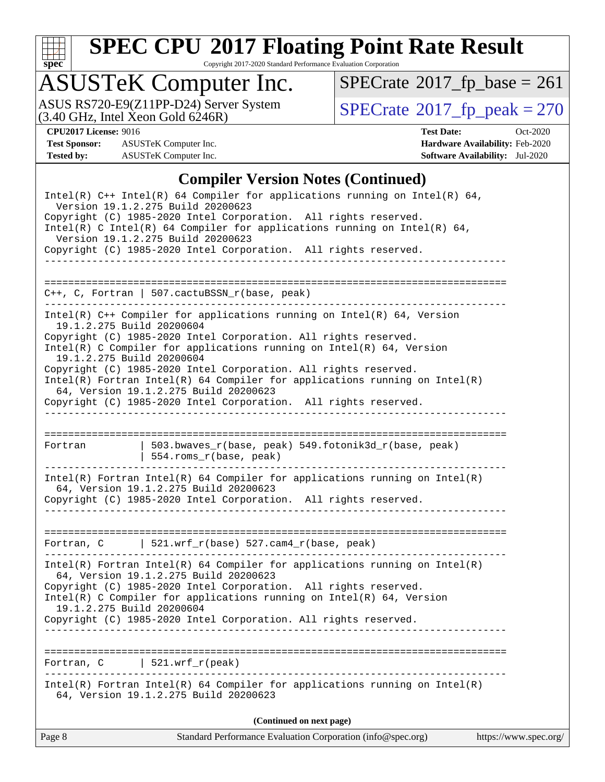

Copyright 2017-2020 Standard Performance Evaluation Corporation

### ASUSTeK Computer Inc.

ASUS RS720-E9(Z11PP-D24) Server System  $(3.40 \text{ GHz}, \text{ Intel Xeon Gold } 6246\text{R})$   $\big| \text{ SPECrate}^{\circledR} 2017 \text{ *fp\_peak} = 270*$  $\big| \text{ SPECrate}^{\circledR} 2017 \text{ *fp\_peak} = 270*$  $\big| \text{ SPECrate}^{\circledR} 2017 \text{ *fp\_peak} = 270*$ 

 $SPECTate@2017_fp\_base = 261$ 

**[Test Sponsor:](http://www.spec.org/auto/cpu2017/Docs/result-fields.html#TestSponsor)** ASUSTeK Computer Inc. **[Hardware Availability:](http://www.spec.org/auto/cpu2017/Docs/result-fields.html#HardwareAvailability)** Feb-2020 **[Tested by:](http://www.spec.org/auto/cpu2017/Docs/result-fields.html#Testedby)** ASUSTeK Computer Inc. **[Software Availability:](http://www.spec.org/auto/cpu2017/Docs/result-fields.html#SoftwareAvailability)** Jul-2020

**[CPU2017 License:](http://www.spec.org/auto/cpu2017/Docs/result-fields.html#CPU2017License)** 9016 **[Test Date:](http://www.spec.org/auto/cpu2017/Docs/result-fields.html#TestDate)** Oct-2020

#### **[Compiler Version Notes \(Continued\)](http://www.spec.org/auto/cpu2017/Docs/result-fields.html#CompilerVersionNotes)**

| Page 8     | Standard Performance Evaluation Corporation (info@spec.org)                                                                                                                                                                                                 | https://www.spec.org/ |
|------------|-------------------------------------------------------------------------------------------------------------------------------------------------------------------------------------------------------------------------------------------------------------|-----------------------|
|            | (Continued on next page)                                                                                                                                                                                                                                    |                       |
|            | Intel(R) Fortran Intel(R) 64 Compiler for applications running on Intel(R)<br>64, Version 19.1.2.275 Build 20200623                                                                                                                                         |                       |
| Fortran, C | $521.wrf_r(peak)$                                                                                                                                                                                                                                           |                       |
|            | $Intel(R)$ C Compiler for applications running on $Intel(R)$ 64, Version<br>19.1.2.275 Build 20200604<br>Copyright (C) 1985-2020 Intel Corporation. All rights reserved.                                                                                    |                       |
|            | $Intel(R)$ Fortran Intel(R) 64 Compiler for applications running on Intel(R)<br>64, Version 19.1.2.275 Build 20200623<br>Copyright (C) 1985-2020 Intel Corporation. All rights reserved.                                                                    |                       |
|            | Fortran, C $\vert$ 521.wrf_r(base) 527.cam4_r(base, peak)<br>---------------------------                                                                                                                                                                    |                       |
|            | $Intel(R)$ Fortran Intel(R) 64 Compiler for applications running on Intel(R)<br>64, Version 19.1.2.275 Build 20200623<br>Copyright (C) 1985-2020 Intel Corporation. All rights reserved.                                                                    |                       |
| Fortran    | 503.bwaves_r(base, peak) 549.fotonik3d_r(base, peak)<br>554.roms_r(base, peak)<br>_________________________________                                                                                                                                         |                       |
|            |                                                                                                                                                                                                                                                             |                       |
|            | Copyright (C) 1985-2020 Intel Corporation. All rights reserved.<br>$Intel(R)$ Fortran Intel(R) 64 Compiler for applications running on Intel(R)<br>64, Version 19.1.2.275 Build 20200623<br>Copyright (C) 1985-2020 Intel Corporation. All rights reserved. |                       |
|            | 19.1.2.275 Build 20200604<br>Copyright (C) 1985-2020 Intel Corporation. All rights reserved.<br>Intel(R) C Compiler for applications running on Intel(R) 64, Version<br>19.1.2.275 Build 20200604                                                           |                       |
|            | $Intel(R)$ C++ Compiler for applications running on $Intel(R)$ 64, Version                                                                                                                                                                                  |                       |
|            | $C++$ , C, Fortran   507.cactuBSSN_r(base, peak)                                                                                                                                                                                                            |                       |
|            | Copyright (C) 1985-2020 Intel Corporation. All rights reserved.                                                                                                                                                                                             |                       |
|            | Version 19.1.2.275 Build 20200623<br>Copyright (C) 1985-2020 Intel Corporation. All rights reserved.<br>$Intel(R)$ C Intel(R) 64 Compiler for applications running on Intel(R) 64,<br>Version 19.1.2.275 Build 20200623                                     |                       |
|            | Intel(R) $C++$ Intel(R) 64 Compiler for applications running on Intel(R) 64,                                                                                                                                                                                |                       |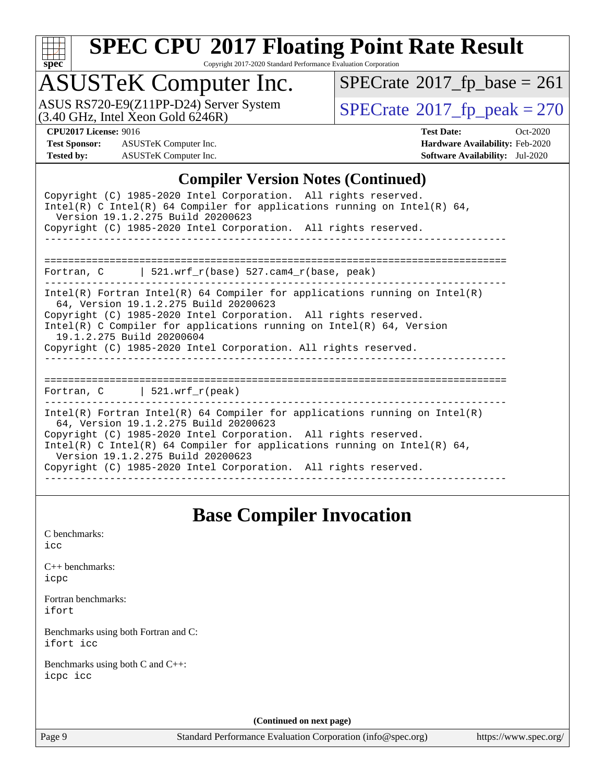

Copyright 2017-2020 Standard Performance Evaluation Corporation

### ASUSTeK Computer Inc.

ASUS RS720-E9(Z11PP-D24) Server System  $(3.40 \text{ GHz}, \text{ Intel Xeon Gold } 6246\text{R})$   $\big| \text{ SPECrate}^{\circledR} 2017 \text{ *fp\_peak} = 270*$  $\big| \text{ SPECrate}^{\circledR} 2017 \text{ *fp\_peak} = 270*$  $\big| \text{ SPECrate}^{\circledR} 2017 \text{ *fp\_peak} = 270*$ 

 $SPECTate@2017_fp\_base = 261$ 

**[Test Sponsor:](http://www.spec.org/auto/cpu2017/Docs/result-fields.html#TestSponsor)** ASUSTeK Computer Inc. **[Hardware Availability:](http://www.spec.org/auto/cpu2017/Docs/result-fields.html#HardwareAvailability)** Feb-2020 **[Tested by:](http://www.spec.org/auto/cpu2017/Docs/result-fields.html#Testedby)** ASUSTeK Computer Inc. **[Software Availability:](http://www.spec.org/auto/cpu2017/Docs/result-fields.html#SoftwareAvailability)** Jul-2020

**[CPU2017 License:](http://www.spec.org/auto/cpu2017/Docs/result-fields.html#CPU2017License)** 9016 **[Test Date:](http://www.spec.org/auto/cpu2017/Docs/result-fields.html#TestDate)** Oct-2020

#### **[Compiler Version Notes \(Continued\)](http://www.spec.org/auto/cpu2017/Docs/result-fields.html#CompilerVersionNotes)**

| Copyright (C) 1985-2020 Intel Corporation. All rights reserved.<br>Intel(R) C Intel(R) 64 Compiler for applications running on Intel(R) 64,<br>Version 19.1.2.275 Build 20200623<br>Copyright (C) 1985-2020 Intel Corporation. All rights reserved.                                                                                                                          |
|------------------------------------------------------------------------------------------------------------------------------------------------------------------------------------------------------------------------------------------------------------------------------------------------------------------------------------------------------------------------------|
| Fortran, $C$   521.wrf $r(base)$ 527.cam4 $r(base$ , peak)                                                                                                                                                                                                                                                                                                                   |
| Intel(R) Fortran Intel(R) 64 Compiler for applications running on Intel(R)<br>64, Version 19.1.2.275 Build 20200623<br>Copyright (C) 1985-2020 Intel Corporation. All rights reserved.<br>Intel(R) C Compiler for applications running on Intel(R) $64$ , Version<br>19.1.2.275 Build 20200604<br>Copyright (C) 1985-2020 Intel Corporation. All rights reserved.            |
| =====================================<br>Fortran, $C$   521.wrf_r(peak)                                                                                                                                                                                                                                                                                                      |
| $Intel(R)$ Fortran Intel(R) 64 Compiler for applications running on Intel(R)<br>64, Version 19.1.2.275 Build 20200623<br>Copyright (C) 1985-2020 Intel Corporation. All rights reserved.<br>Intel(R) C Intel(R) 64 Compiler for applications running on Intel(R) 64,<br>Version 19.1.2.275 Build 20200623<br>Copyright (C) 1985-2020 Intel Corporation. All rights reserved. |

#### **[Base Compiler Invocation](http://www.spec.org/auto/cpu2017/Docs/result-fields.html#BaseCompilerInvocation)**

[C benchmarks](http://www.spec.org/auto/cpu2017/Docs/result-fields.html#Cbenchmarks): [icc](http://www.spec.org/cpu2017/results/res2020q4/cpu2017-20201023-24242.flags.html#user_CCbase_intel_icc_66fc1ee009f7361af1fbd72ca7dcefbb700085f36577c54f309893dd4ec40d12360134090235512931783d35fd58c0460139e722d5067c5574d8eaf2b3e37e92)

[C++ benchmarks:](http://www.spec.org/auto/cpu2017/Docs/result-fields.html#CXXbenchmarks) [icpc](http://www.spec.org/cpu2017/results/res2020q4/cpu2017-20201023-24242.flags.html#user_CXXbase_intel_icpc_c510b6838c7f56d33e37e94d029a35b4a7bccf4766a728ee175e80a419847e808290a9b78be685c44ab727ea267ec2f070ec5dc83b407c0218cded6866a35d07)

[Fortran benchmarks](http://www.spec.org/auto/cpu2017/Docs/result-fields.html#Fortranbenchmarks): [ifort](http://www.spec.org/cpu2017/results/res2020q4/cpu2017-20201023-24242.flags.html#user_FCbase_intel_ifort_8111460550e3ca792625aed983ce982f94888b8b503583aa7ba2b8303487b4d8a21a13e7191a45c5fd58ff318f48f9492884d4413fa793fd88dd292cad7027ca)

[Benchmarks using both Fortran and C](http://www.spec.org/auto/cpu2017/Docs/result-fields.html#BenchmarksusingbothFortranandC): [ifort](http://www.spec.org/cpu2017/results/res2020q4/cpu2017-20201023-24242.flags.html#user_CC_FCbase_intel_ifort_8111460550e3ca792625aed983ce982f94888b8b503583aa7ba2b8303487b4d8a21a13e7191a45c5fd58ff318f48f9492884d4413fa793fd88dd292cad7027ca) [icc](http://www.spec.org/cpu2017/results/res2020q4/cpu2017-20201023-24242.flags.html#user_CC_FCbase_intel_icc_66fc1ee009f7361af1fbd72ca7dcefbb700085f36577c54f309893dd4ec40d12360134090235512931783d35fd58c0460139e722d5067c5574d8eaf2b3e37e92)

[Benchmarks using both C and C++](http://www.spec.org/auto/cpu2017/Docs/result-fields.html#BenchmarksusingbothCandCXX): [icpc](http://www.spec.org/cpu2017/results/res2020q4/cpu2017-20201023-24242.flags.html#user_CC_CXXbase_intel_icpc_c510b6838c7f56d33e37e94d029a35b4a7bccf4766a728ee175e80a419847e808290a9b78be685c44ab727ea267ec2f070ec5dc83b407c0218cded6866a35d07) [icc](http://www.spec.org/cpu2017/results/res2020q4/cpu2017-20201023-24242.flags.html#user_CC_CXXbase_intel_icc_66fc1ee009f7361af1fbd72ca7dcefbb700085f36577c54f309893dd4ec40d12360134090235512931783d35fd58c0460139e722d5067c5574d8eaf2b3e37e92)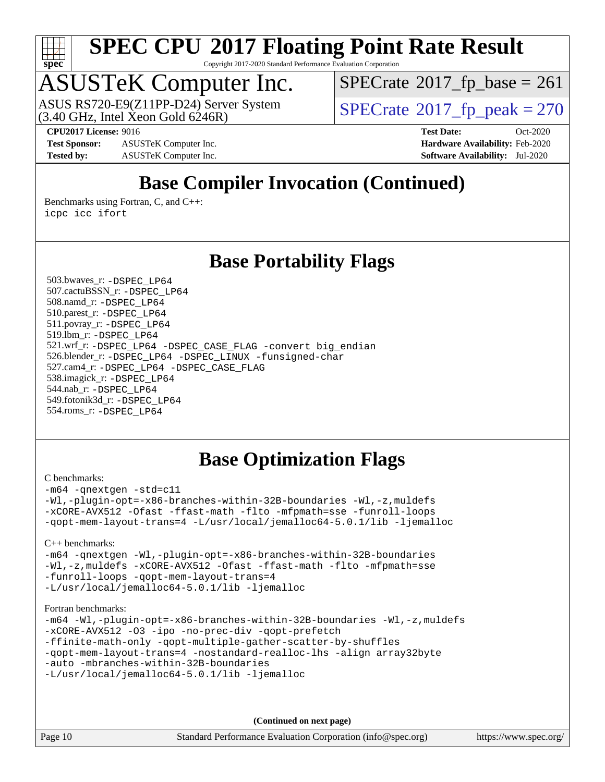

Copyright 2017-2020 Standard Performance Evaluation Corporation

### ASUSTeK Computer Inc.

 $(3.40 \text{ GHz}, \text{Intel } \hat{\text{X}}$ con Gold 6246R) ASUS RS720-E9(Z11PP-D24) Server System  $SPECrate@2017_fp\_peak = 270$  $SPECrate@2017_fp\_peak = 270$ 

 $SPECTate@2017_fp\_base = 261$ 

**[CPU2017 License:](http://www.spec.org/auto/cpu2017/Docs/result-fields.html#CPU2017License)** 9016 **[Test Date:](http://www.spec.org/auto/cpu2017/Docs/result-fields.html#TestDate)** Oct-2020

**[Test Sponsor:](http://www.spec.org/auto/cpu2017/Docs/result-fields.html#TestSponsor)** ASUSTeK Computer Inc. **[Hardware Availability:](http://www.spec.org/auto/cpu2017/Docs/result-fields.html#HardwareAvailability)** Feb-2020 **[Tested by:](http://www.spec.org/auto/cpu2017/Docs/result-fields.html#Testedby)** ASUSTeK Computer Inc. **[Software Availability:](http://www.spec.org/auto/cpu2017/Docs/result-fields.html#SoftwareAvailability)** Jul-2020

### **[Base Compiler Invocation \(Continued\)](http://www.spec.org/auto/cpu2017/Docs/result-fields.html#BaseCompilerInvocation)**

[Benchmarks using Fortran, C, and C++:](http://www.spec.org/auto/cpu2017/Docs/result-fields.html#BenchmarksusingFortranCandCXX) [icpc](http://www.spec.org/cpu2017/results/res2020q4/cpu2017-20201023-24242.flags.html#user_CC_CXX_FCbase_intel_icpc_c510b6838c7f56d33e37e94d029a35b4a7bccf4766a728ee175e80a419847e808290a9b78be685c44ab727ea267ec2f070ec5dc83b407c0218cded6866a35d07) [icc](http://www.spec.org/cpu2017/results/res2020q4/cpu2017-20201023-24242.flags.html#user_CC_CXX_FCbase_intel_icc_66fc1ee009f7361af1fbd72ca7dcefbb700085f36577c54f309893dd4ec40d12360134090235512931783d35fd58c0460139e722d5067c5574d8eaf2b3e37e92) [ifort](http://www.spec.org/cpu2017/results/res2020q4/cpu2017-20201023-24242.flags.html#user_CC_CXX_FCbase_intel_ifort_8111460550e3ca792625aed983ce982f94888b8b503583aa7ba2b8303487b4d8a21a13e7191a45c5fd58ff318f48f9492884d4413fa793fd88dd292cad7027ca)

#### **[Base Portability Flags](http://www.spec.org/auto/cpu2017/Docs/result-fields.html#BasePortabilityFlags)**

 503.bwaves\_r: [-DSPEC\\_LP64](http://www.spec.org/cpu2017/results/res2020q4/cpu2017-20201023-24242.flags.html#suite_basePORTABILITY503_bwaves_r_DSPEC_LP64) 507.cactuBSSN\_r: [-DSPEC\\_LP64](http://www.spec.org/cpu2017/results/res2020q4/cpu2017-20201023-24242.flags.html#suite_basePORTABILITY507_cactuBSSN_r_DSPEC_LP64) 508.namd\_r: [-DSPEC\\_LP64](http://www.spec.org/cpu2017/results/res2020q4/cpu2017-20201023-24242.flags.html#suite_basePORTABILITY508_namd_r_DSPEC_LP64) 510.parest\_r: [-DSPEC\\_LP64](http://www.spec.org/cpu2017/results/res2020q4/cpu2017-20201023-24242.flags.html#suite_basePORTABILITY510_parest_r_DSPEC_LP64) 511.povray\_r: [-DSPEC\\_LP64](http://www.spec.org/cpu2017/results/res2020q4/cpu2017-20201023-24242.flags.html#suite_basePORTABILITY511_povray_r_DSPEC_LP64) 519.lbm\_r: [-DSPEC\\_LP64](http://www.spec.org/cpu2017/results/res2020q4/cpu2017-20201023-24242.flags.html#suite_basePORTABILITY519_lbm_r_DSPEC_LP64) 521.wrf\_r: [-DSPEC\\_LP64](http://www.spec.org/cpu2017/results/res2020q4/cpu2017-20201023-24242.flags.html#suite_basePORTABILITY521_wrf_r_DSPEC_LP64) [-DSPEC\\_CASE\\_FLAG](http://www.spec.org/cpu2017/results/res2020q4/cpu2017-20201023-24242.flags.html#b521.wrf_r_baseCPORTABILITY_DSPEC_CASE_FLAG) [-convert big\\_endian](http://www.spec.org/cpu2017/results/res2020q4/cpu2017-20201023-24242.flags.html#user_baseFPORTABILITY521_wrf_r_convert_big_endian_c3194028bc08c63ac5d04de18c48ce6d347e4e562e8892b8bdbdc0214820426deb8554edfa529a3fb25a586e65a3d812c835984020483e7e73212c4d31a38223) 526.blender\_r: [-DSPEC\\_LP64](http://www.spec.org/cpu2017/results/res2020q4/cpu2017-20201023-24242.flags.html#suite_basePORTABILITY526_blender_r_DSPEC_LP64) [-DSPEC\\_LINUX](http://www.spec.org/cpu2017/results/res2020q4/cpu2017-20201023-24242.flags.html#b526.blender_r_baseCPORTABILITY_DSPEC_LINUX) [-funsigned-char](http://www.spec.org/cpu2017/results/res2020q4/cpu2017-20201023-24242.flags.html#user_baseCPORTABILITY526_blender_r_force_uchar_40c60f00ab013830e2dd6774aeded3ff59883ba5a1fc5fc14077f794d777847726e2a5858cbc7672e36e1b067e7e5c1d9a74f7176df07886a243d7cc18edfe67) 527.cam4\_r: [-DSPEC\\_LP64](http://www.spec.org/cpu2017/results/res2020q4/cpu2017-20201023-24242.flags.html#suite_basePORTABILITY527_cam4_r_DSPEC_LP64) [-DSPEC\\_CASE\\_FLAG](http://www.spec.org/cpu2017/results/res2020q4/cpu2017-20201023-24242.flags.html#b527.cam4_r_baseCPORTABILITY_DSPEC_CASE_FLAG) 538.imagick\_r: [-DSPEC\\_LP64](http://www.spec.org/cpu2017/results/res2020q4/cpu2017-20201023-24242.flags.html#suite_basePORTABILITY538_imagick_r_DSPEC_LP64) 544.nab\_r: [-DSPEC\\_LP64](http://www.spec.org/cpu2017/results/res2020q4/cpu2017-20201023-24242.flags.html#suite_basePORTABILITY544_nab_r_DSPEC_LP64) 549.fotonik3d\_r: [-DSPEC\\_LP64](http://www.spec.org/cpu2017/results/res2020q4/cpu2017-20201023-24242.flags.html#suite_basePORTABILITY549_fotonik3d_r_DSPEC_LP64) 554.roms\_r: [-DSPEC\\_LP64](http://www.spec.org/cpu2017/results/res2020q4/cpu2017-20201023-24242.flags.html#suite_basePORTABILITY554_roms_r_DSPEC_LP64)

#### **[Base Optimization Flags](http://www.spec.org/auto/cpu2017/Docs/result-fields.html#BaseOptimizationFlags)**

#### [C benchmarks](http://www.spec.org/auto/cpu2017/Docs/result-fields.html#Cbenchmarks):

[-m64](http://www.spec.org/cpu2017/results/res2020q4/cpu2017-20201023-24242.flags.html#user_CCbase_m64-icc) [-qnextgen](http://www.spec.org/cpu2017/results/res2020q4/cpu2017-20201023-24242.flags.html#user_CCbase_f-qnextgen) [-std=c11](http://www.spec.org/cpu2017/results/res2020q4/cpu2017-20201023-24242.flags.html#user_CCbase_std-icc-std_0e1c27790398a4642dfca32ffe6c27b5796f9c2d2676156f2e42c9c44eaad0c049b1cdb667a270c34d979996257aeb8fc440bfb01818dbc9357bd9d174cb8524) [-Wl,-plugin-opt=-x86-branches-within-32B-boundaries](http://www.spec.org/cpu2017/results/res2020q4/cpu2017-20201023-24242.flags.html#user_CCbase_f-x86-branches-within-32B-boundaries_0098b4e4317ae60947b7b728078a624952a08ac37a3c797dfb4ffeb399e0c61a9dd0f2f44ce917e9361fb9076ccb15e7824594512dd315205382d84209e912f3) [-Wl,-z,muldefs](http://www.spec.org/cpu2017/results/res2020q4/cpu2017-20201023-24242.flags.html#user_CCbase_link_force_multiple1_b4cbdb97b34bdee9ceefcfe54f4c8ea74255f0b02a4b23e853cdb0e18eb4525ac79b5a88067c842dd0ee6996c24547a27a4b99331201badda8798ef8a743f577) [-xCORE-AVX512](http://www.spec.org/cpu2017/results/res2020q4/cpu2017-20201023-24242.flags.html#user_CCbase_f-xCORE-AVX512) [-Ofast](http://www.spec.org/cpu2017/results/res2020q4/cpu2017-20201023-24242.flags.html#user_CCbase_f-Ofast) [-ffast-math](http://www.spec.org/cpu2017/results/res2020q4/cpu2017-20201023-24242.flags.html#user_CCbase_f-ffast-math) [-flto](http://www.spec.org/cpu2017/results/res2020q4/cpu2017-20201023-24242.flags.html#user_CCbase_f-flto) [-mfpmath=sse](http://www.spec.org/cpu2017/results/res2020q4/cpu2017-20201023-24242.flags.html#user_CCbase_f-mfpmath_70eb8fac26bde974f8ab713bc9086c5621c0b8d2f6c86f38af0bd7062540daf19db5f3a066d8c6684be05d84c9b6322eb3b5be6619d967835195b93d6c02afa1) [-funroll-loops](http://www.spec.org/cpu2017/results/res2020q4/cpu2017-20201023-24242.flags.html#user_CCbase_f-funroll-loops) [-qopt-mem-layout-trans=4](http://www.spec.org/cpu2017/results/res2020q4/cpu2017-20201023-24242.flags.html#user_CCbase_f-qopt-mem-layout-trans_fa39e755916c150a61361b7846f310bcdf6f04e385ef281cadf3647acec3f0ae266d1a1d22d972a7087a248fd4e6ca390a3634700869573d231a252c784941a8) [-L/usr/local/jemalloc64-5.0.1/lib](http://www.spec.org/cpu2017/results/res2020q4/cpu2017-20201023-24242.flags.html#user_CCbase_jemalloc_link_path64_1_cc289568b1a6c0fd3b62c91b824c27fcb5af5e8098e6ad028160d21144ef1b8aef3170d2acf0bee98a8da324cfe4f67d0a3d0c4cc4673d993d694dc2a0df248b) [-ljemalloc](http://www.spec.org/cpu2017/results/res2020q4/cpu2017-20201023-24242.flags.html#user_CCbase_jemalloc_link_lib_d1249b907c500fa1c0672f44f562e3d0f79738ae9e3c4a9c376d49f265a04b9c99b167ecedbf6711b3085be911c67ff61f150a17b3472be731631ba4d0471706)

#### [C++ benchmarks:](http://www.spec.org/auto/cpu2017/Docs/result-fields.html#CXXbenchmarks)

[-m64](http://www.spec.org/cpu2017/results/res2020q4/cpu2017-20201023-24242.flags.html#user_CXXbase_m64-icc) [-qnextgen](http://www.spec.org/cpu2017/results/res2020q4/cpu2017-20201023-24242.flags.html#user_CXXbase_f-qnextgen) [-Wl,-plugin-opt=-x86-branches-within-32B-boundaries](http://www.spec.org/cpu2017/results/res2020q4/cpu2017-20201023-24242.flags.html#user_CXXbase_f-x86-branches-within-32B-boundaries_0098b4e4317ae60947b7b728078a624952a08ac37a3c797dfb4ffeb399e0c61a9dd0f2f44ce917e9361fb9076ccb15e7824594512dd315205382d84209e912f3) [-Wl,-z,muldefs](http://www.spec.org/cpu2017/results/res2020q4/cpu2017-20201023-24242.flags.html#user_CXXbase_link_force_multiple1_b4cbdb97b34bdee9ceefcfe54f4c8ea74255f0b02a4b23e853cdb0e18eb4525ac79b5a88067c842dd0ee6996c24547a27a4b99331201badda8798ef8a743f577) [-xCORE-AVX512](http://www.spec.org/cpu2017/results/res2020q4/cpu2017-20201023-24242.flags.html#user_CXXbase_f-xCORE-AVX512) [-Ofast](http://www.spec.org/cpu2017/results/res2020q4/cpu2017-20201023-24242.flags.html#user_CXXbase_f-Ofast) [-ffast-math](http://www.spec.org/cpu2017/results/res2020q4/cpu2017-20201023-24242.flags.html#user_CXXbase_f-ffast-math) [-flto](http://www.spec.org/cpu2017/results/res2020q4/cpu2017-20201023-24242.flags.html#user_CXXbase_f-flto) [-mfpmath=sse](http://www.spec.org/cpu2017/results/res2020q4/cpu2017-20201023-24242.flags.html#user_CXXbase_f-mfpmath_70eb8fac26bde974f8ab713bc9086c5621c0b8d2f6c86f38af0bd7062540daf19db5f3a066d8c6684be05d84c9b6322eb3b5be6619d967835195b93d6c02afa1) [-funroll-loops](http://www.spec.org/cpu2017/results/res2020q4/cpu2017-20201023-24242.flags.html#user_CXXbase_f-funroll-loops) [-qopt-mem-layout-trans=4](http://www.spec.org/cpu2017/results/res2020q4/cpu2017-20201023-24242.flags.html#user_CXXbase_f-qopt-mem-layout-trans_fa39e755916c150a61361b7846f310bcdf6f04e385ef281cadf3647acec3f0ae266d1a1d22d972a7087a248fd4e6ca390a3634700869573d231a252c784941a8) [-L/usr/local/jemalloc64-5.0.1/lib](http://www.spec.org/cpu2017/results/res2020q4/cpu2017-20201023-24242.flags.html#user_CXXbase_jemalloc_link_path64_1_cc289568b1a6c0fd3b62c91b824c27fcb5af5e8098e6ad028160d21144ef1b8aef3170d2acf0bee98a8da324cfe4f67d0a3d0c4cc4673d993d694dc2a0df248b) [-ljemalloc](http://www.spec.org/cpu2017/results/res2020q4/cpu2017-20201023-24242.flags.html#user_CXXbase_jemalloc_link_lib_d1249b907c500fa1c0672f44f562e3d0f79738ae9e3c4a9c376d49f265a04b9c99b167ecedbf6711b3085be911c67ff61f150a17b3472be731631ba4d0471706)

#### [Fortran benchmarks](http://www.spec.org/auto/cpu2017/Docs/result-fields.html#Fortranbenchmarks):

```
-m64 -Wl,-plugin-opt=-x86-branches-within-32B-boundaries -Wl,-z,muldefs
-xCORE-AVX512 -O3 -ipo -no-prec-div -qopt-prefetch
-ffinite-math-only -qopt-multiple-gather-scatter-by-shuffles
-qopt-mem-layout-trans=4 -nostandard-realloc-lhs -align array32byte
-auto -mbranches-within-32B-boundaries
-L/usr/local/jemalloc64-5.0.1/lib -ljemalloc
```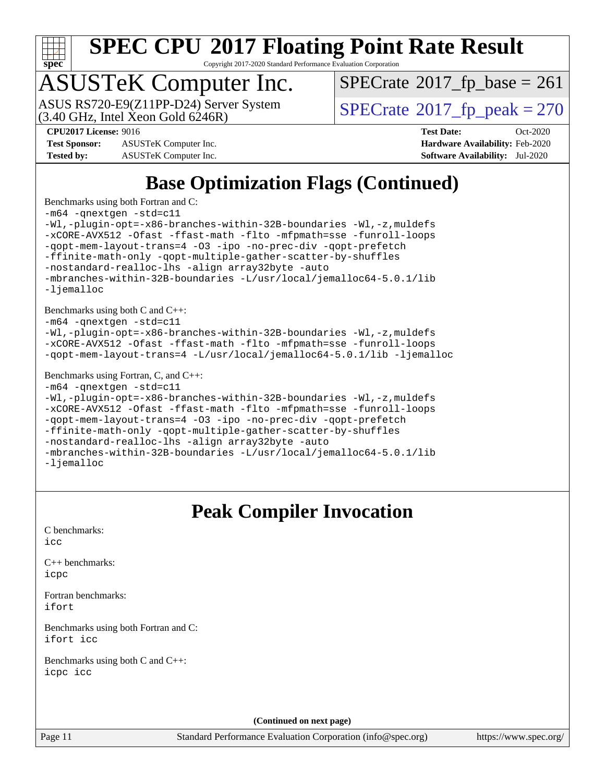

Copyright 2017-2020 Standard Performance Evaluation Corporation

### ASUSTeK Computer Inc.

ASUS RS720-E9(Z11PP-D24) Server System<br>(3.40 GHz, Intel Xeon Gold 6246R)

 $SPECTate@2017_fp\_base = 261$ 

**[Test Sponsor:](http://www.spec.org/auto/cpu2017/Docs/result-fields.html#TestSponsor)** ASUSTeK Computer Inc. **[Hardware Availability:](http://www.spec.org/auto/cpu2017/Docs/result-fields.html#HardwareAvailability)** Feb-2020

 $SPECTate<sup>®</sup>2017_fp_peak = 270$  $SPECTate<sup>®</sup>2017_fp_peak = 270$  $SPECTate<sup>®</sup>2017_fp_peak = 270$ **[CPU2017 License:](http://www.spec.org/auto/cpu2017/Docs/result-fields.html#CPU2017License)** 9016 **[Test Date:](http://www.spec.org/auto/cpu2017/Docs/result-fields.html#TestDate)** Oct-2020

**[Tested by:](http://www.spec.org/auto/cpu2017/Docs/result-fields.html#Testedby)** ASUSTeK Computer Inc. **[Software Availability:](http://www.spec.org/auto/cpu2017/Docs/result-fields.html#SoftwareAvailability)** Jul-2020

### **[Base Optimization Flags \(Continued\)](http://www.spec.org/auto/cpu2017/Docs/result-fields.html#BaseOptimizationFlags)**

[Benchmarks using both Fortran and C](http://www.spec.org/auto/cpu2017/Docs/result-fields.html#BenchmarksusingbothFortranandC):

```
-m64 -qnextgen -std=c11
-Wl,-plugin-opt=-x86-branches-within-32B-boundaries -Wl,-z,muldefs
-xCORE-AVX512 -Ofast -ffast-math -flto -mfpmath=sse -funroll-loops
-qopt-mem-layout-trans=4 -O3 -ipo -no-prec-div -qopt-prefetch
-ffinite-math-only -qopt-multiple-gather-scatter-by-shuffles
-nostandard-realloc-lhs -align array32byte -auto
-mbranches-within-32B-boundaries -L/usr/local/jemalloc64-5.0.1/lib
-ljemalloc
Benchmarks using both C and C++: 
-m64 -qnextgen -std=c11
-Wl,-plugin-opt=-x86-branches-within-32B-boundaries -Wl,-z,muldefs
-xCORE-AVX512 -Ofast -ffast-math -flto -mfpmath=sse -funroll-loops
-qopt-mem-layout-trans=4 -L/usr/local/jemalloc64-5.0.1/lib -ljemalloc
Benchmarks using Fortran, C, and C++:
```

```
-m64 -qnextgen -std=c11
-Wl,-plugin-opt=-x86-branches-within-32B-boundaries -Wl,-z,muldefs
-xCORE-AVX512 -Ofast -ffast-math -flto -mfpmath=sse -funroll-loops
-qopt-mem-layout-trans=4 -O3 -ipo -no-prec-div -qopt-prefetch
-ffinite-math-only -qopt-multiple-gather-scatter-by-shuffles
-nostandard-realloc-lhs -align array32byte -auto
-mbranches-within-32B-boundaries -L/usr/local/jemalloc64-5.0.1/lib
-ljemalloc
```
#### **[Peak Compiler Invocation](http://www.spec.org/auto/cpu2017/Docs/result-fields.html#PeakCompilerInvocation)**

[C benchmarks](http://www.spec.org/auto/cpu2017/Docs/result-fields.html#Cbenchmarks): [icc](http://www.spec.org/cpu2017/results/res2020q4/cpu2017-20201023-24242.flags.html#user_CCpeak_intel_icc_66fc1ee009f7361af1fbd72ca7dcefbb700085f36577c54f309893dd4ec40d12360134090235512931783d35fd58c0460139e722d5067c5574d8eaf2b3e37e92)

[C++ benchmarks:](http://www.spec.org/auto/cpu2017/Docs/result-fields.html#CXXbenchmarks) [icpc](http://www.spec.org/cpu2017/results/res2020q4/cpu2017-20201023-24242.flags.html#user_CXXpeak_intel_icpc_c510b6838c7f56d33e37e94d029a35b4a7bccf4766a728ee175e80a419847e808290a9b78be685c44ab727ea267ec2f070ec5dc83b407c0218cded6866a35d07)

[Fortran benchmarks](http://www.spec.org/auto/cpu2017/Docs/result-fields.html#Fortranbenchmarks): [ifort](http://www.spec.org/cpu2017/results/res2020q4/cpu2017-20201023-24242.flags.html#user_FCpeak_intel_ifort_8111460550e3ca792625aed983ce982f94888b8b503583aa7ba2b8303487b4d8a21a13e7191a45c5fd58ff318f48f9492884d4413fa793fd88dd292cad7027ca)

[Benchmarks using both Fortran and C](http://www.spec.org/auto/cpu2017/Docs/result-fields.html#BenchmarksusingbothFortranandC): [ifort](http://www.spec.org/cpu2017/results/res2020q4/cpu2017-20201023-24242.flags.html#user_CC_FCpeak_intel_ifort_8111460550e3ca792625aed983ce982f94888b8b503583aa7ba2b8303487b4d8a21a13e7191a45c5fd58ff318f48f9492884d4413fa793fd88dd292cad7027ca) [icc](http://www.spec.org/cpu2017/results/res2020q4/cpu2017-20201023-24242.flags.html#user_CC_FCpeak_intel_icc_66fc1ee009f7361af1fbd72ca7dcefbb700085f36577c54f309893dd4ec40d12360134090235512931783d35fd58c0460139e722d5067c5574d8eaf2b3e37e92)

[Benchmarks using both C and C++](http://www.spec.org/auto/cpu2017/Docs/result-fields.html#BenchmarksusingbothCandCXX): [icpc](http://www.spec.org/cpu2017/results/res2020q4/cpu2017-20201023-24242.flags.html#user_CC_CXXpeak_intel_icpc_c510b6838c7f56d33e37e94d029a35b4a7bccf4766a728ee175e80a419847e808290a9b78be685c44ab727ea267ec2f070ec5dc83b407c0218cded6866a35d07) [icc](http://www.spec.org/cpu2017/results/res2020q4/cpu2017-20201023-24242.flags.html#user_CC_CXXpeak_intel_icc_66fc1ee009f7361af1fbd72ca7dcefbb700085f36577c54f309893dd4ec40d12360134090235512931783d35fd58c0460139e722d5067c5574d8eaf2b3e37e92)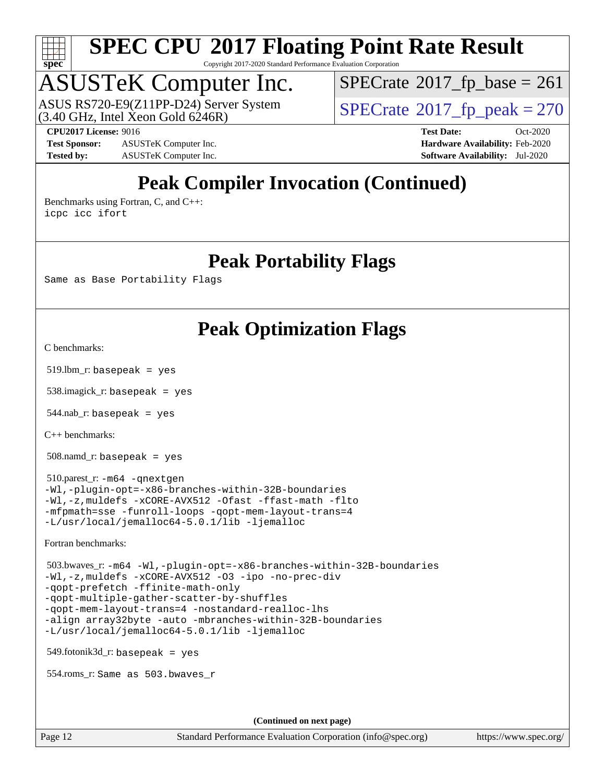

Copyright 2017-2020 Standard Performance Evaluation Corporation

### ASUSTeK Computer Inc.

 $(3.40 \text{ GHz}, \text{Intel } \hat{\text{X}}$ con Gold 6246R) ASUS RS720-E9(Z11PP-D24) Server System  $SPECrate@2017_fp\_peak = 270$  $SPECrate@2017_fp\_peak = 270$ 

 $SPECTate@2017_fp\_base = 261$ 

**[CPU2017 License:](http://www.spec.org/auto/cpu2017/Docs/result-fields.html#CPU2017License)** 9016 **[Test Date:](http://www.spec.org/auto/cpu2017/Docs/result-fields.html#TestDate)** Oct-2020

**[Test Sponsor:](http://www.spec.org/auto/cpu2017/Docs/result-fields.html#TestSponsor)** ASUSTeK Computer Inc. **[Hardware Availability:](http://www.spec.org/auto/cpu2017/Docs/result-fields.html#HardwareAvailability)** Feb-2020 **[Tested by:](http://www.spec.org/auto/cpu2017/Docs/result-fields.html#Testedby)** ASUSTeK Computer Inc. **[Software Availability:](http://www.spec.org/auto/cpu2017/Docs/result-fields.html#SoftwareAvailability)** Jul-2020

### **[Peak Compiler Invocation \(Continued\)](http://www.spec.org/auto/cpu2017/Docs/result-fields.html#PeakCompilerInvocation)**

[Benchmarks using Fortran, C, and C++:](http://www.spec.org/auto/cpu2017/Docs/result-fields.html#BenchmarksusingFortranCandCXX) [icpc](http://www.spec.org/cpu2017/results/res2020q4/cpu2017-20201023-24242.flags.html#user_CC_CXX_FCpeak_intel_icpc_c510b6838c7f56d33e37e94d029a35b4a7bccf4766a728ee175e80a419847e808290a9b78be685c44ab727ea267ec2f070ec5dc83b407c0218cded6866a35d07) [icc](http://www.spec.org/cpu2017/results/res2020q4/cpu2017-20201023-24242.flags.html#user_CC_CXX_FCpeak_intel_icc_66fc1ee009f7361af1fbd72ca7dcefbb700085f36577c54f309893dd4ec40d12360134090235512931783d35fd58c0460139e722d5067c5574d8eaf2b3e37e92) [ifort](http://www.spec.org/cpu2017/results/res2020q4/cpu2017-20201023-24242.flags.html#user_CC_CXX_FCpeak_intel_ifort_8111460550e3ca792625aed983ce982f94888b8b503583aa7ba2b8303487b4d8a21a13e7191a45c5fd58ff318f48f9492884d4413fa793fd88dd292cad7027ca)

#### **[Peak Portability Flags](http://www.spec.org/auto/cpu2017/Docs/result-fields.html#PeakPortabilityFlags)**

Same as Base Portability Flags

#### **[Peak Optimization Flags](http://www.spec.org/auto/cpu2017/Docs/result-fields.html#PeakOptimizationFlags)**

[C benchmarks](http://www.spec.org/auto/cpu2017/Docs/result-fields.html#Cbenchmarks):

519.lbm\_r: basepeak = yes

538.imagick\_r: basepeak = yes

 $544$ .nab\_r: basepeak = yes

[C++ benchmarks:](http://www.spec.org/auto/cpu2017/Docs/result-fields.html#CXXbenchmarks)

508.namd\_r: basepeak = yes

 510.parest\_r: [-m64](http://www.spec.org/cpu2017/results/res2020q4/cpu2017-20201023-24242.flags.html#user_peakCXXLD510_parest_r_m64-icc) [-qnextgen](http://www.spec.org/cpu2017/results/res2020q4/cpu2017-20201023-24242.flags.html#user_peakCXXLD510_parest_r_f-qnextgen) [-Wl,-plugin-opt=-x86-branches-within-32B-boundaries](http://www.spec.org/cpu2017/results/res2020q4/cpu2017-20201023-24242.flags.html#user_peakLDFLAGS510_parest_r_f-x86-branches-within-32B-boundaries_0098b4e4317ae60947b7b728078a624952a08ac37a3c797dfb4ffeb399e0c61a9dd0f2f44ce917e9361fb9076ccb15e7824594512dd315205382d84209e912f3) [-Wl,-z,muldefs](http://www.spec.org/cpu2017/results/res2020q4/cpu2017-20201023-24242.flags.html#user_peakEXTRA_LDFLAGS510_parest_r_link_force_multiple1_b4cbdb97b34bdee9ceefcfe54f4c8ea74255f0b02a4b23e853cdb0e18eb4525ac79b5a88067c842dd0ee6996c24547a27a4b99331201badda8798ef8a743f577) [-xCORE-AVX512](http://www.spec.org/cpu2017/results/res2020q4/cpu2017-20201023-24242.flags.html#user_peakCXXOPTIMIZE510_parest_r_f-xCORE-AVX512) [-Ofast](http://www.spec.org/cpu2017/results/res2020q4/cpu2017-20201023-24242.flags.html#user_peakCXXOPTIMIZE510_parest_r_f-Ofast) [-ffast-math](http://www.spec.org/cpu2017/results/res2020q4/cpu2017-20201023-24242.flags.html#user_peakCXXOPTIMIZE510_parest_r_f-ffast-math) [-flto](http://www.spec.org/cpu2017/results/res2020q4/cpu2017-20201023-24242.flags.html#user_peakCXXOPTIMIZE510_parest_r_f-flto) [-mfpmath=sse](http://www.spec.org/cpu2017/results/res2020q4/cpu2017-20201023-24242.flags.html#user_peakCXXOPTIMIZE510_parest_r_f-mfpmath_70eb8fac26bde974f8ab713bc9086c5621c0b8d2f6c86f38af0bd7062540daf19db5f3a066d8c6684be05d84c9b6322eb3b5be6619d967835195b93d6c02afa1) [-funroll-loops](http://www.spec.org/cpu2017/results/res2020q4/cpu2017-20201023-24242.flags.html#user_peakCXXOPTIMIZE510_parest_r_f-funroll-loops) [-qopt-mem-layout-trans=4](http://www.spec.org/cpu2017/results/res2020q4/cpu2017-20201023-24242.flags.html#user_peakCXXOPTIMIZE510_parest_r_f-qopt-mem-layout-trans_fa39e755916c150a61361b7846f310bcdf6f04e385ef281cadf3647acec3f0ae266d1a1d22d972a7087a248fd4e6ca390a3634700869573d231a252c784941a8) [-L/usr/local/jemalloc64-5.0.1/lib](http://www.spec.org/cpu2017/results/res2020q4/cpu2017-20201023-24242.flags.html#user_peakEXTRA_LIBS510_parest_r_jemalloc_link_path64_1_cc289568b1a6c0fd3b62c91b824c27fcb5af5e8098e6ad028160d21144ef1b8aef3170d2acf0bee98a8da324cfe4f67d0a3d0c4cc4673d993d694dc2a0df248b) [-ljemalloc](http://www.spec.org/cpu2017/results/res2020q4/cpu2017-20201023-24242.flags.html#user_peakEXTRA_LIBS510_parest_r_jemalloc_link_lib_d1249b907c500fa1c0672f44f562e3d0f79738ae9e3c4a9c376d49f265a04b9c99b167ecedbf6711b3085be911c67ff61f150a17b3472be731631ba4d0471706)

[Fortran benchmarks](http://www.spec.org/auto/cpu2017/Docs/result-fields.html#Fortranbenchmarks):

```
 503.bwaves_r: -m64 -Wl,-plugin-opt=-x86-branches-within-32B-boundaries
-Wl,-z,muldefs -xCORE-AVX512 -O3 -ipo -no-prec-div
-qopt-prefetch -ffinite-math-only
-qopt-multiple-gather-scatter-by-shuffles
-qopt-mem-layout-trans=4 -nostandard-realloc-lhs
-align array32byte -auto -mbranches-within-32B-boundaries
-L/usr/local/jemalloc64-5.0.1/lib -ljemalloc
```
549.fotonik3d\_r: basepeak = yes

554.roms\_r: Same as 503.bwaves\_r